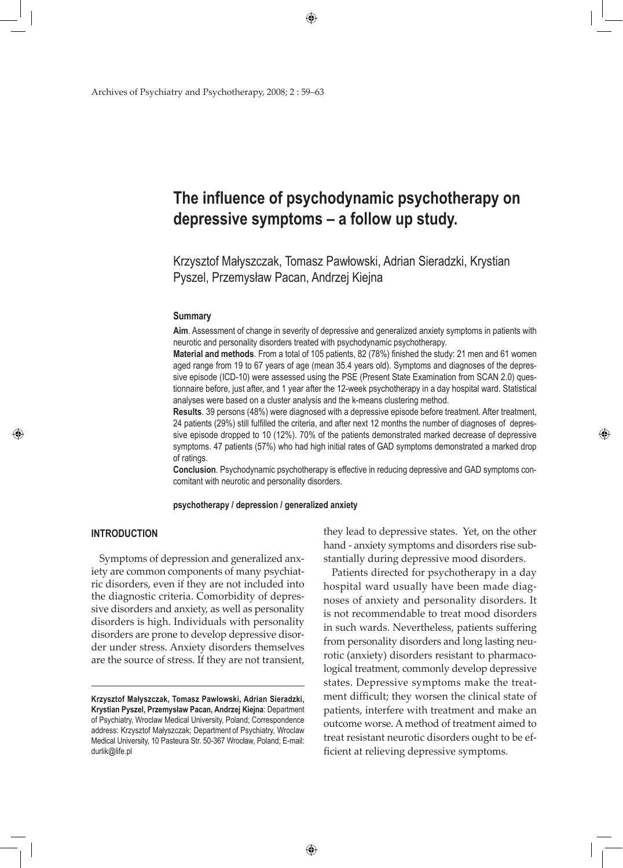◈

Archives of Psychiatry and Psychotherapy, 2008; 2 : 59–63

# **The influence of psychodynamic psychotherapy on depressive symptoms – a follow up study.**

Krzysztof Małyszczak, Tomasz Pawłowski, Adrian Sieradzki, Krystian Pyszel, Przemysław Pacan, Andrzej Kiejna

#### **Summary**

**Aim**. Assessment of change in severity of depressive and generalized anxiety symptoms in patients with neurotic and personality disorders treated with psychodynamic psychotherapy.

**Material and methods**. From a total of 105 patients, 82 (78%) finished the study: 21 men and 61 women aged range from 19 to 67 years of age (mean 35.4 years old). Symptoms and diagnoses of the depressive episode (ICD-10) were assessed using the PSE (Present State Examination from SCAN 2.0) questionnaire before, just after, and 1 year after the 12-week psychotherapy in a day hospital ward. Statistical analyses were based on a cluster analysis and the k-means clustering method.

**Results**. 39 persons (48%) were diagnosed with a depressive episode before treatment. After treatment, 24 patients (29%) still fulfilled the criteria, and after next 12 months the number of diagnoses of depressive episode dropped to 10 (12%). 70% of the patients demonstrated marked decrease of depressive symptoms. 47 patients (57%) who had high initial rates of GAD symptoms demonstrated a marked drop of ratings.

**Conclusion**. Psychodynamic psychotherapy is effective in reducing depressive and GAD symptoms concomitant with neurotic and personality disorders.

## **psychotherapy / depression / generalized anxiety**

# **INTRODUCTION**

◈

Symptoms of depression and generalized anxiety are common components of many psychiatric disorders, even if they are not included into the diagnostic criteria. Comorbidity of depressive disorders and anxiety, as well as personality disorders is high. Individuals with personality disorders are prone to develop depressive disorder under stress. Anxiety disorders themselves are the source of stress. If they are not transient,

they lead to depressive states. Yet, on the other hand - anxiety symptoms and disorders rise substantially during depressive mood disorders.

◈

Patients directed for psychotherapy in a day hospital ward usually have been made diagnoses of anxiety and personality disorders. It is not recommendable to treat mood disorders in such wards. Nevertheless, patients suffering from personality disorders and long lasting neurotic (anxiety) disorders resistant to pharmacological treatment, commonly develop depressive states. Depressive symptoms make the treatment difficult; they worsen the clinical state of patients, interfere with treatment and make an outcome worse. A method of treatment aimed to treat resistant neurotic disorders ought to be efficient at relieving depressive symptoms.

**Krzysztof Małyszczak, Tomasz Pawłowski, Adrian Sieradzki, Krystian Pyszel, Przemysław Pacan, Andrzej Kiejna**: Department of Psychiatry, Wroclaw Medical University, Poland; Correspondence address: Krzysztof Małyszczak; Department of Psychiatry, Wroclaw Medical University, 10 Pasteura Str. 50-367 Wrocław, Poland; E-mail: durlik@life.pl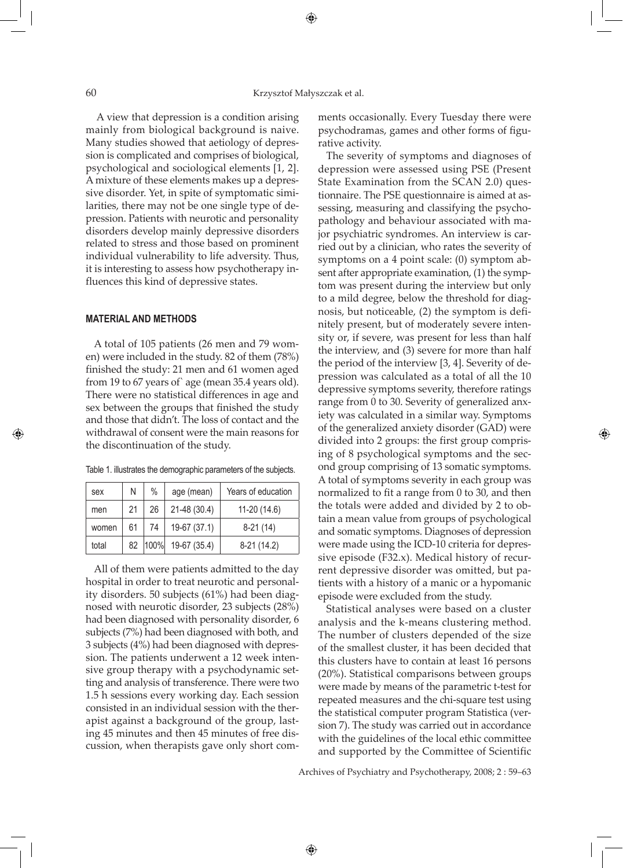⊕

 A view that depression is a condition arising mainly from biological background is naive. Many studies showed that aetiology of depression is complicated and comprises of biological, psychological and sociological elements [1, 2]. A mixture of these elements makes up a depressive disorder. Yet, in spite of symptomatic similarities, there may not be one single type of depression. Patients with neurotic and personality disorders develop mainly depressive disorders related to stress and those based on prominent individual vulnerability to life adversity. Thus, it is interesting to assess how psychotherapy influences this kind of depressive states.

## **MATERIAL AND METHODS**

A total of 105 patients (26 men and 79 women) were included in the study. 82 of them (78%) finished the study: 21 men and 61 women aged from 19 to 67 years of` age (mean 35.4 years old). There were no statistical differences in age and sex between the groups that finished the study and those that didn't. The loss of contact and the withdrawal of consent were the main reasons for the discontinuation of the study.

| Table 1. illustrates the demographic parameters of the subjects. |  |  |  |
|------------------------------------------------------------------|--|--|--|
|                                                                  |  |  |  |

| sex   | Ν  | $\%$ | age (mean)             | Years of education |
|-------|----|------|------------------------|--------------------|
| men   | 21 | 26   | 21-48 (30.4)           | $11-20(14.6)$      |
| women | 61 | 74   | 19-67 (37.1)           | $8-21(14)$         |
| total | 82 |      | $ 100\% $ 19-67 (35.4) | $8-21(14.2)$       |

All of them were patients admitted to the day hospital in order to treat neurotic and personality disorders. 50 subjects (61%) had been diagnosed with neurotic disorder, 23 subjects (28%) had been diagnosed with personality disorder, 6 subjects (7%) had been diagnosed with both, and 3 subjects (4%) had been diagnosed with depression. The patients underwent a 12 week intensive group therapy with a psychodynamic setting and analysis of transference. There were two 1.5 h sessions every working day. Each session consisted in an individual session with the therapist against a background of the group, lasting 45 minutes and then 45 minutes of free discussion, when therapists gave only short comments occasionally. Every Tuesday there were psychodramas, games and other forms of figurative activity.

The severity of symptoms and diagnoses of depression were assessed using PSE (Present State Examination from the SCAN 2.0) questionnaire. The PSE questionnaire is aimed at assessing, measuring and classifying the psychopathology and behaviour associated with major psychiatric syndromes. An interview is carried out by a clinician, who rates the severity of symptoms on a 4 point scale: (0) symptom absent after appropriate examination, (1) the symptom was present during the interview but only to a mild degree, below the threshold for diagnosis, but noticeable, (2) the symptom is definitely present, but of moderately severe intensity or, if severe, was present for less than half the interview, and (3) severe for more than half the period of the interview [3, 4]. Severity of depression was calculated as a total of all the 10 depressive symptoms severity, therefore ratings range from 0 to 30. Severity of generalized anxiety was calculated in a similar way. Symptoms of the generalized anxiety disorder (GAD) were divided into 2 groups: the first group comprising of 8 psychological symptoms and the second group comprising of 13 somatic symptoms. A total of symptoms severity in each group was normalized to fit a range from 0 to 30, and then the totals were added and divided by 2 to obtain a mean value from groups of psychological and somatic symptoms. Diagnoses of depression were made using the ICD-10 criteria for depressive episode (F32.x). Medical history of recurrent depressive disorder was omitted, but patients with a history of a manic or a hypomanic episode were excluded from the study.

◈

Statistical analyses were based on a cluster analysis and the k-means clustering method. The number of clusters depended of the size of the smallest cluster, it has been decided that this clusters have to contain at least 16 persons (20%). Statistical comparisons between groups were made by means of the parametric t-test for repeated measures and the chi-square test using the statistical computer program Statistica (version 7). The study was carried out in accordance with the guidelines of the local ethic committee and supported by the Committee of Scientific

Archives of Psychiatry and Psychotherapy, 2008; 2 : 59–63

⊕

⊕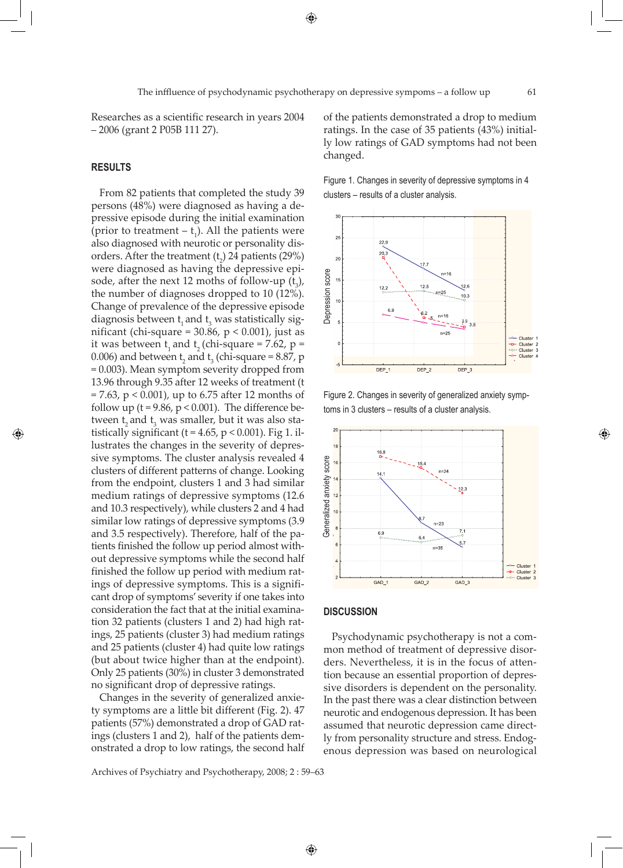◈

Researches as a scientific research in years 2004 – 2006 (grant 2 P05B 111 27).

## **RESULTS**

◈

From 82 patients that completed the study 39 persons (48%) were diagnosed as having a depressive episode during the initial examination (prior to treatment  $- t_1$ ). All the patients were also diagnosed with neurotic or personality disorders. After the treatment  $(t_2)$  24 patients (29%) were diagnosed as having the depressive episode, after the next 12 moths of follow-up  $(t_3)$ , the number of diagnoses dropped to 10 (12%). Change of prevalence of the depressive episode diagnosis between  $t_1$  and  $t_3$  was statistically significant (chi-square =  $30.86$ ,  $p < 0.001$ ), just as it was between  $t_1$  and  $t_2$  (chi-square = 7.62, p = 0.006) and between  $t_2$  and  $t_3$  (chi-square = 8.87, p = 0.003). Mean symptom severity dropped from 13.96 through 9.35 after 12 weeks of treatment (t = 7.63, p < 0.001), up to 6.75 after 12 months of follow up ( $t = 9.86$ ,  $p < 0.001$ ). The difference between  $\mathfrak{t}_2$  and  $\mathfrak{t}_3$  was smaller, but it was also statistically significant ( $t = 4.65$ ,  $p < 0.001$ ). Fig 1. illustrates the changes in the severity of depressive symptoms. The cluster analysis revealed 4 clusters of different patterns of change. Looking from the endpoint, clusters 1 and 3 had similar medium ratings of depressive symptoms (12.6 and 10.3 respectively), while clusters 2 and 4 had similar low ratings of depressive symptoms (3.9 and 3.5 respectively). Therefore, half of the patients finished the follow up period almost without depressive symptoms while the second half finished the follow up period with medium ratings of depressive symptoms. This is a significant drop of symptoms' severity if one takes into consideration the fact that at the initial examination 32 patients (clusters 1 and 2) had high ratings, 25 patients (cluster 3) had medium ratings and 25 patients (cluster 4) had quite low ratings (but about twice higher than at the endpoint). Only 25 patients (30%) in cluster 3 demonstrated no significant drop of depressive ratings.

Changes in the severity of generalized anxiety symptoms are a little bit different (Fig. 2). 47 patients (57%) demonstrated a drop of GAD ratings (clusters 1 and 2), half of the patients demonstrated a drop to low ratings, the second half

Archives of Psychiatry and Psychotherapy, 2008; 2 : 59–63

of the patients demonstrated a drop to medium ratings. In the case of 35 patients (43%) initially low ratings of GAD symptoms had not been changed.

Figure 1. Changes in severity of depressive symptoms in 4 clusters – results of a cluster analysis.



Figure 2. Changes in severity of generalized anxiety symptoms in 3 clusters – results of a cluster analysis.

◈



# **DISCUSSION**

↔

Psychodynamic psychotherapy is not a common method of treatment of depressive disorders. Nevertheless, it is in the focus of attention because an essential proportion of depressive disorders is dependent on the personality. In the past there was a clear distinction between neurotic and endogenous depression. It has been assumed that neurotic depression came directly from personality structure and stress. Endog-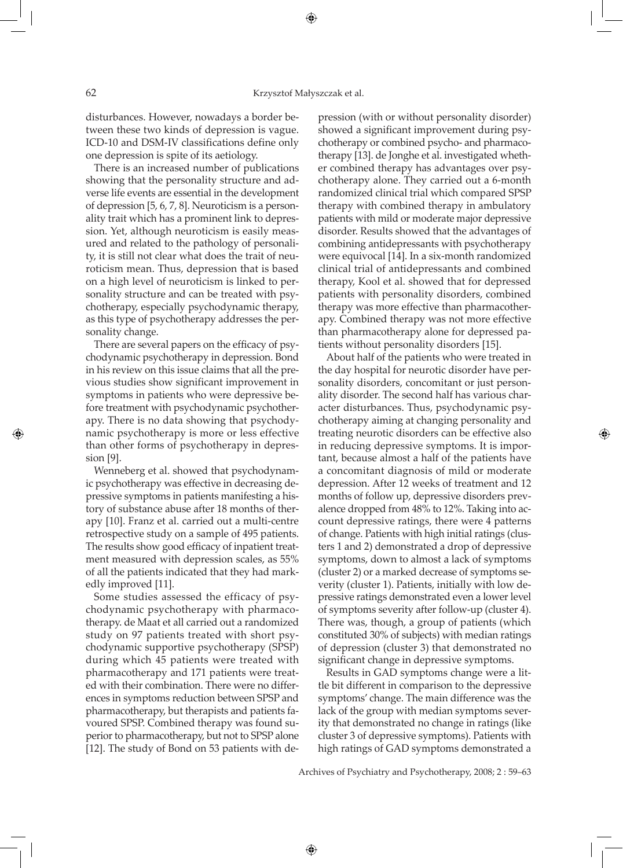⊕

disturbances. However, nowadays a border between these two kinds of depression is vague. ICD-10 and DSM-IV classifications define only one depression is spite of its aetiology.

There is an increased number of publications showing that the personality structure and adverse life events are essential in the development of depression [5, 6, 7, 8]. Neuroticism is a personality trait which has a prominent link to depression. Yet, although neuroticism is easily measured and related to the pathology of personality, it is still not clear what does the trait of neuroticism mean. Thus, depression that is based on a high level of neuroticism is linked to personality structure and can be treated with psychotherapy, especially psychodynamic therapy, as this type of psychotherapy addresses the personality change.

There are several papers on the efficacy of psychodynamic psychotherapy in depression. Bond in his review on this issue claims that all the previous studies show significant improvement in symptoms in patients who were depressive before treatment with psychodynamic psychotherapy. There is no data showing that psychodynamic psychotherapy is more or less effective than other forms of psychotherapy in depression [9].

Wenneberg et al. showed that psychodynamic psychotherapy was effective in decreasing depressive symptoms in patients manifesting a history of substance abuse after 18 months of therapy [10]. Franz et al. carried out a multi-centre retrospective study on a sample of 495 patients. The results show good efficacy of inpatient treatment measured with depression scales, as 55% of all the patients indicated that they had markedly improved [11].

Some studies assessed the efficacy of psychodynamic psychotherapy with pharmacotherapy. de Maat et all carried out a randomized study on 97 patients treated with short psychodynamic supportive psychotherapy (SPSP) during which 45 patients were treated with pharmacotherapy and 171 patients were treated with their combination. There were no differences in symptoms reduction between SPSP and pharmacotherapy, but therapists and patients favoured SPSP. Combined therapy was found superior to pharmacotherapy, but not to SPSP alone [12]. The study of Bond on 53 patients with depression (with or without personality disorder) showed a significant improvement during psychotherapy or combined psycho- and pharmacotherapy [13]. de Jonghe et al. investigated whether combined therapy has advantages over psychotherapy alone. They carried out a 6-month randomized clinical trial which compared SPSP therapy with combined therapy in ambulatory patients with mild or moderate major depressive disorder. Results showed that the advantages of combining antidepressants with psychotherapy were equivocal [14]. In a six-month randomized clinical trial of antidepressants and combined therapy, Kool et al. showed that for depressed patients with personality disorders, combined therapy was more effective than pharmacotherapy. Combined therapy was not more effective than pharmacotherapy alone for depressed patients without personality disorders [15].

About half of the patients who were treated in the day hospital for neurotic disorder have personality disorders, concomitant or just personality disorder. The second half has various character disturbances. Thus, psychodynamic psychotherapy aiming at changing personality and treating neurotic disorders can be effective also in reducing depressive symptoms. It is important, because almost a half of the patients have a concomitant diagnosis of mild or moderate depression. After 12 weeks of treatment and 12 months of follow up, depressive disorders prevalence dropped from 48% to 12%. Taking into account depressive ratings, there were 4 patterns of change. Patients with high initial ratings (clusters 1 and 2) demonstrated a drop of depressive symptoms, down to almost a lack of symptoms (cluster 2) or a marked decrease of symptoms severity (cluster 1). Patients, initially with low depressive ratings demonstrated even a lower level of symptoms severity after follow-up (cluster 4). There was, though, a group of patients (which constituted 30% of subjects) with median ratings of depression (cluster 3) that demonstrated no significant change in depressive symptoms.

◈

Results in GAD symptoms change were a little bit different in comparison to the depressive symptoms' change. The main difference was the lack of the group with median symptoms severity that demonstrated no change in ratings (like cluster 3 of depressive symptoms). Patients with high ratings of GAD symptoms demonstrated a

Archives of Psychiatry and Psychotherapy, 2008; 2 : 59–63

⊕

◈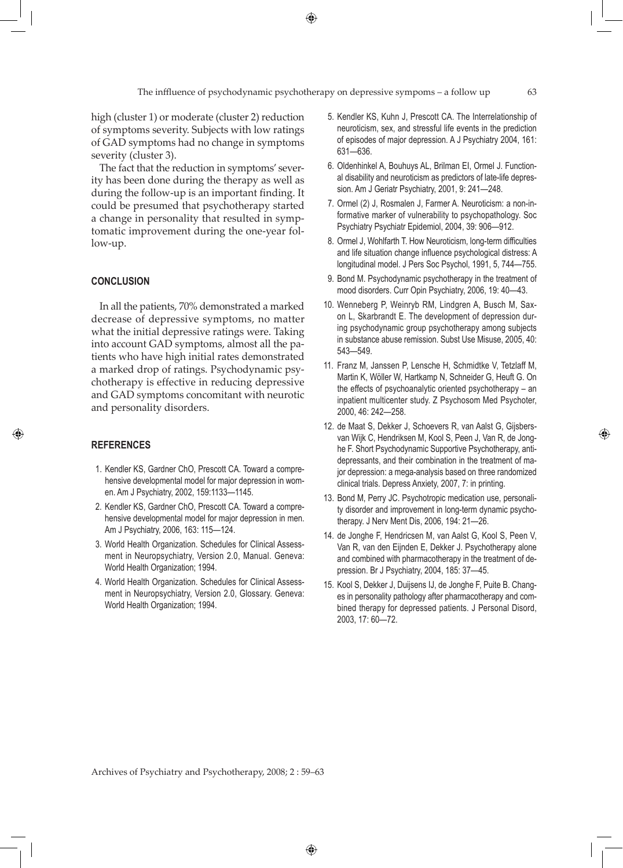⊕

high (cluster 1) or moderate (cluster 2) reduction of symptoms severity. Subjects with low ratings of GAD symptoms had no change in symptoms severity (cluster 3).

The fact that the reduction in symptoms' severity has been done during the therapy as well as during the follow-up is an important finding. It could be presumed that psychotherapy started a change in personality that resulted in symptomatic improvement during the one-year follow-up.

# **CONCLUSION**

In all the patients, 70% demonstrated a marked decrease of depressive symptoms, no matter what the initial depressive ratings were. Taking into account GAD symptoms, almost all the patients who have high initial rates demonstrated a marked drop of ratings. Psychodynamic psychotherapy is effective in reducing depressive and GAD symptoms concomitant with neurotic and personality disorders.

## **REFERENCES**

◈

- 1. Kendler KS, Gardner ChO, Prescott CA. Toward a comprehensive developmental model for major depression in women. Am J Psychiatry, 2002, 159:1133—1145.
- 2. Kendler KS, Gardner ChO, Prescott CA. Toward a comprehensive developmental model for major depression in men. Am J Psychiatry, 2006, 163: 115—124.
- 3. World Health Organization. Schedules for Clinical Assessment in Neuropsychiatry, Version 2.0, Manual. Geneva: World Health Organization; 1994.
- 4. World Health Organization. Schedules for Clinical Assessment in Neuropsychiatry, Version 2.0, Glossary. Geneva: World Health Organization; 1994.
- 5. Kendler KS, Kuhn J, Prescott CA. The Interrelationship of neuroticism, sex, and stressful life events in the prediction of episodes of major depression. A J Psychiatry 2004, 161: 631—636.
- 6. Oldenhinkel A, Bouhuys AL, Brilman EI, Ormel J. Functional disability and neuroticism as predictors of late-life depression. Am J Geriatr Psychiatry, 2001, 9: 241—248.
- 7. Ormel (2) J, Rosmalen J, Farmer A. Neuroticism: a non-informative marker of vulnerability to psychopathology. Soc Psychiatry Psychiatr Epidemiol, 2004, 39: 906—912.
- 8. Ormel J, Wohlfarth T. How Neuroticism, long-term difficulties and life situation change influence psychological distress: A longitudinal model. J Pers Soc Psychol, 1991, 5, 744—755.
- 9. Bond M. Psychodynamic psychotherapy in the treatment of mood disorders. Curr Opin Psychiatry, 2006, 19: 40—43.
- 10. Wenneberg P, Weinryb RM, Lindgren A, Busch M, Saxon L, Skarbrandt E. The development of depression during psychodynamic group psychotherapy among subjects in substance abuse remission. Subst Use Misuse, 2005, 40: 543—549.
- 11. Franz M, Janssen P, Lensche H, Schmidtke V, Tetzlaff M, Martin K, Wöller W, Hartkamp N, Schneider G, Heuft G. On the effects of psychoanalytic oriented psychotherapy – an inpatient multicenter study. Z Psychosom Med Psychoter, 2000, 46: 242—258.
- 12. de Maat S, Dekker J, Schoevers R, van Aalst G, Gijsbersvan Wijk C, Hendriksen M, Kool S, Peen J, Van R, de Jonghe F. Short Psychodynamic Supportive Psychotherapy, antidepressants, and their combination in the treatment of major depression: a mega-analysis based on three randomized clinical trials. Depress Anxiety, 2007, 7: in printing.
- 13. Bond M, Perry JC. Psychotropic medication use, personality disorder and improvement in long-term dynamic psychotherapy. J Nerv Ment Dis, 2006, 194: 21—26.
- 14. de Jonghe F, Hendricsen M, van Aalst G, Kool S, Peen V, Van R, van den Eijnden E, Dekker J. Psychotherapy alone and combined with pharmacotherapy in the treatment of depression. Br J Psychiatry, 2004, 185: 37—45.
- 15. Kool S, Dekker J, Duijsens IJ, de Jonghe F, Puite B. Changes in personality pathology after pharmacotherapy and combined therapy for depressed patients. J Personal Disord, 2003, 17: 60—72.

Archives of Psychiatry and Psychotherapy, 2008; 2 : 59–63

◈